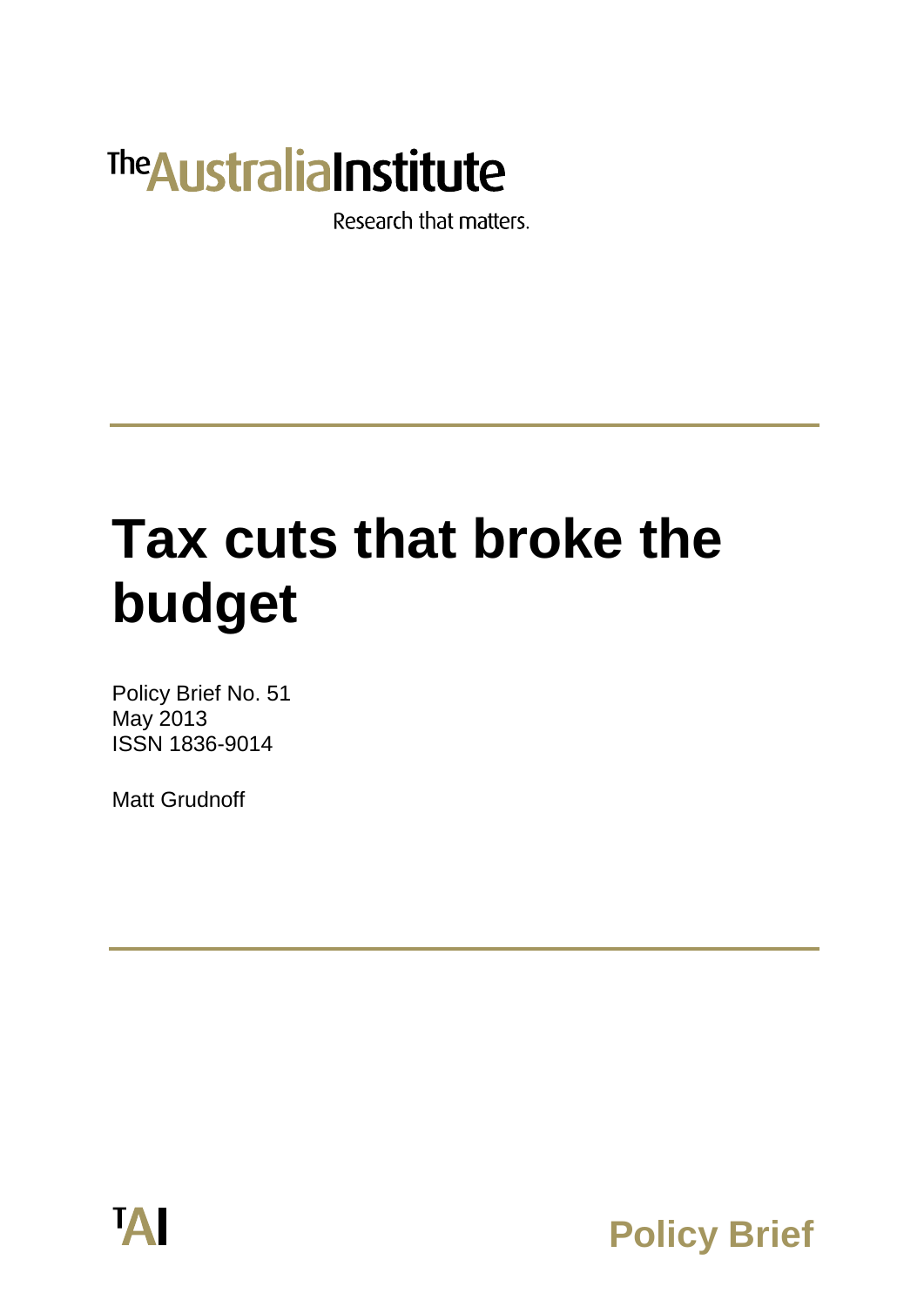# **The Australia Institute**

Research that matters.

# **Tax cuts that broke the budget**

Policy Brief No. 51 May 2013 ISSN 1836-9014

Matt Grudnoff



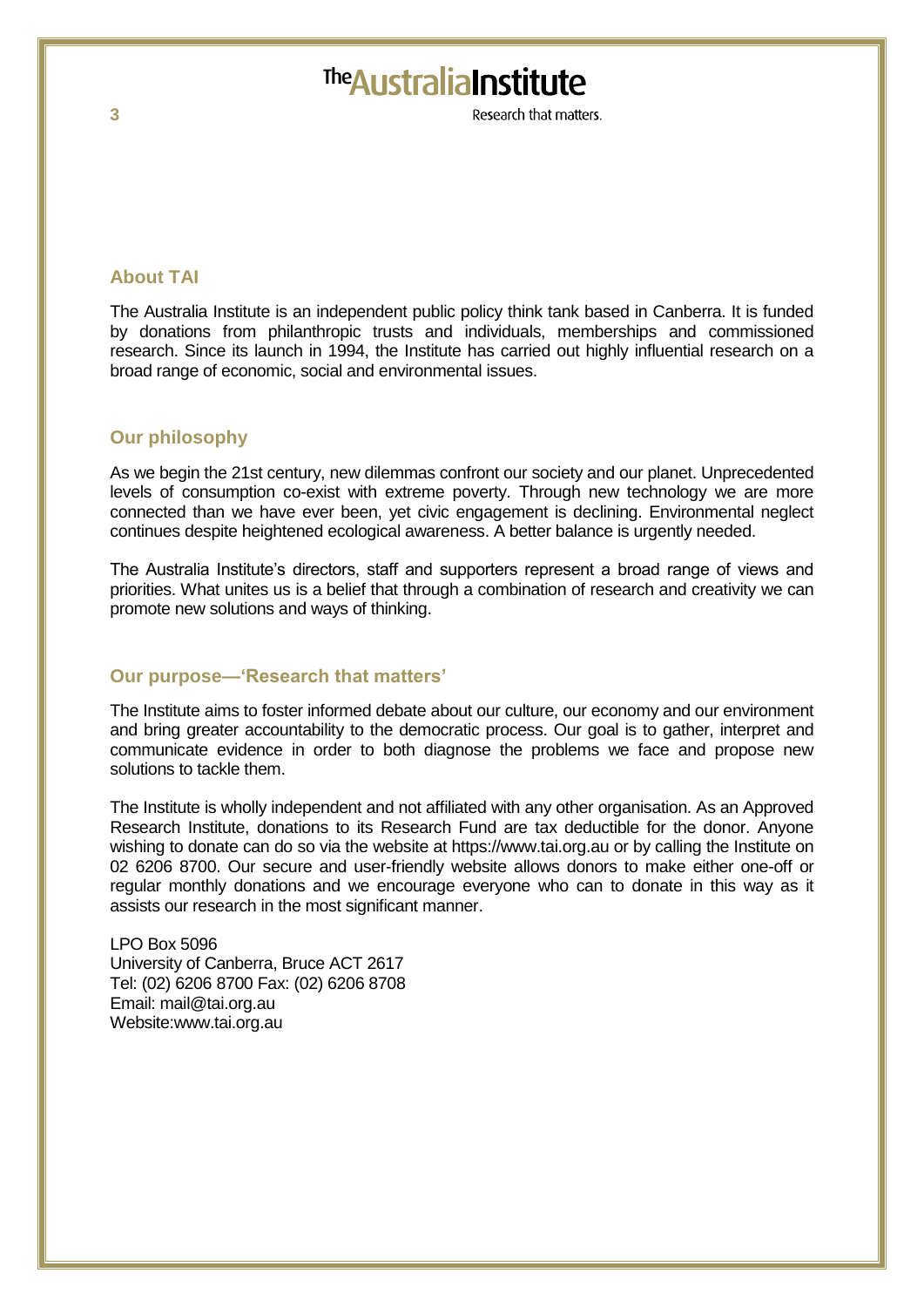# The Australia Institute

Research that matters

#### **About TAI**

The Australia Institute is an independent public policy think tank based in Canberra. It is funded by donations from philanthropic trusts and individuals, memberships and commissioned research. Since its launch in 1994, the Institute has carried out highly influential research on a broad range of economic, social and environmental issues.

#### **Our philosophy**

As we begin the 21st century, new dilemmas confront our society and our planet. Unprecedented levels of consumption co-exist with extreme poverty. Through new technology we are more connected than we have ever been, yet civic engagement is declining. Environmental neglect continues despite heightened ecological awareness. A better balance is urgently needed.

The Australia Institute's directors, staff and supporters represent a broad range of views and priorities. What unites us is a belief that through a combination of research and creativity we can promote new solutions and ways of thinking.

#### **Our purpose—'Research that matters'**

The Institute aims to foster informed debate about our culture, our economy and our environment and bring greater accountability to the democratic process. Our goal is to gather, interpret and communicate evidence in order to both diagnose the problems we face and propose new solutions to tackle them.

The Institute is wholly independent and not affiliated with any other organisation. As an Approved Research Institute, donations to its Research Fund are tax deductible for the donor. Anyone wishing to donate can do so via the website at https://www.tai.org.au or by calling the Institute on 02 6206 8700. Our secure and user-friendly website allows donors to make either one-off or regular monthly donations and we encourage everyone who can to donate in this way as it assists our research in the most significant manner.

LPO Box 5096 University of Canberra, Bruce ACT 2617 Tel: (02) 6206 8700 Fax: (02) 6206 8708 Email: mail@tai.org.au Website:www.tai.org.au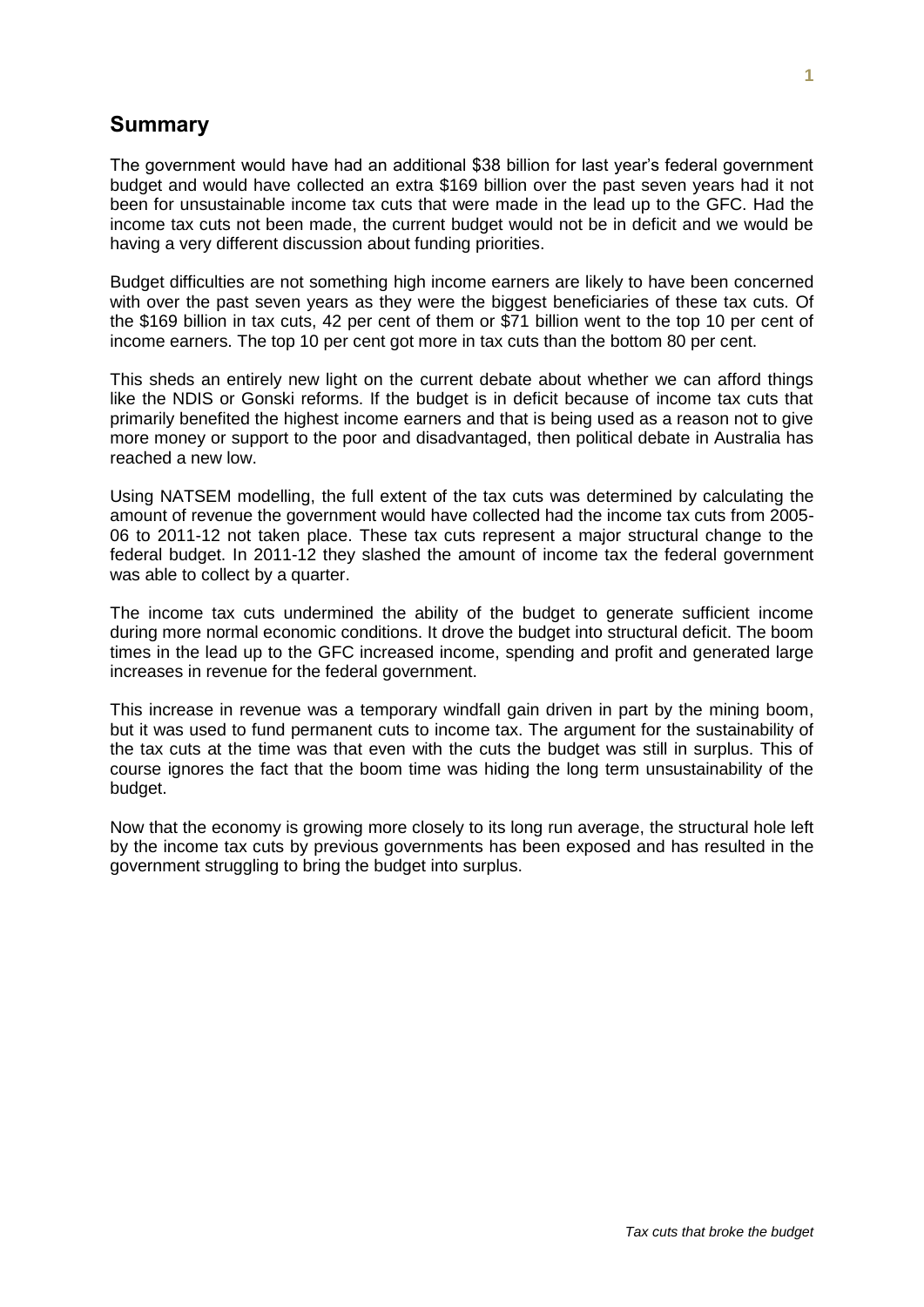#### **Summary**

The government would have had an additional \$38 billion for last year's federal government budget and would have collected an extra \$169 billion over the past seven years had it not been for unsustainable income tax cuts that were made in the lead up to the GFC. Had the income tax cuts not been made, the current budget would not be in deficit and we would be having a very different discussion about funding priorities.

Budget difficulties are not something high income earners are likely to have been concerned with over the past seven years as they were the biggest beneficiaries of these tax cuts. Of the \$169 billion in tax cuts, 42 per cent of them or \$71 billion went to the top 10 per cent of income earners. The top 10 per cent got more in tax cuts than the bottom 80 per cent.

This sheds an entirely new light on the current debate about whether we can afford things like the NDIS or Gonski reforms. If the budget is in deficit because of income tax cuts that primarily benefited the highest income earners and that is being used as a reason not to give more money or support to the poor and disadvantaged, then political debate in Australia has reached a new low.

Using NATSEM modelling, the full extent of the tax cuts was determined by calculating the amount of revenue the government would have collected had the income tax cuts from 2005- 06 to 2011-12 not taken place. These tax cuts represent a major structural change to the federal budget. In 2011-12 they slashed the amount of income tax the federal government was able to collect by a quarter.

The income tax cuts undermined the ability of the budget to generate sufficient income during more normal economic conditions. It drove the budget into structural deficit. The boom times in the lead up to the GFC increased income, spending and profit and generated large increases in revenue for the federal government.

This increase in revenue was a temporary windfall gain driven in part by the mining boom, but it was used to fund permanent cuts to income tax. The argument for the sustainability of the tax cuts at the time was that even with the cuts the budget was still in surplus. This of course ignores the fact that the boom time was hiding the long term unsustainability of the budget.

Now that the economy is growing more closely to its long run average, the structural hole left by the income tax cuts by previous governments has been exposed and has resulted in the government struggling to bring the budget into surplus.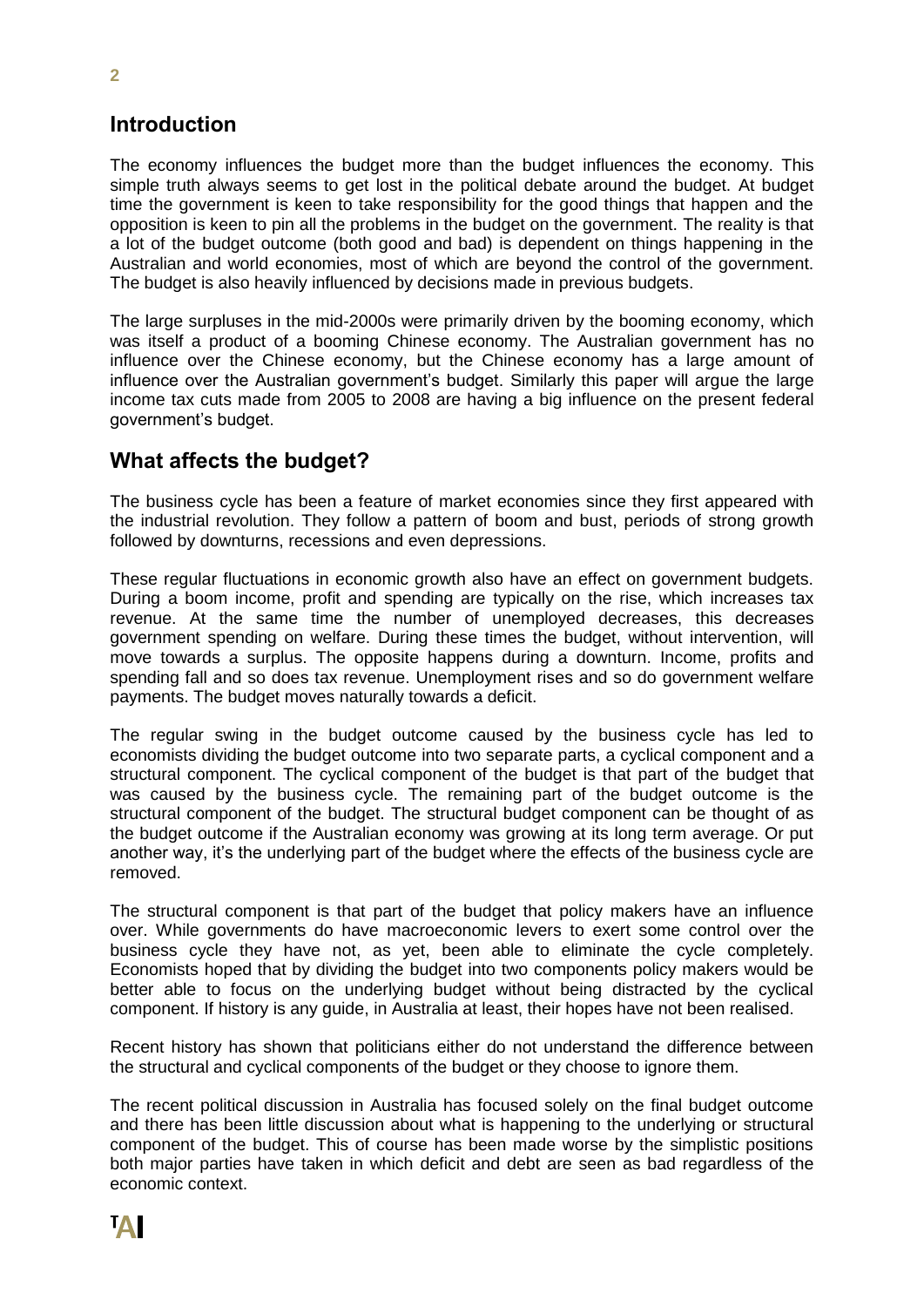#### **Introduction**

The economy influences the budget more than the budget influences the economy. This simple truth always seems to get lost in the political debate around the budget. At budget time the government is keen to take responsibility for the good things that happen and the opposition is keen to pin all the problems in the budget on the government. The reality is that a lot of the budget outcome (both good and bad) is dependent on things happening in the Australian and world economies, most of which are beyond the control of the government. The budget is also heavily influenced by decisions made in previous budgets.

The large surpluses in the mid-2000s were primarily driven by the booming economy, which was itself a product of a booming Chinese economy. The Australian government has no influence over the Chinese economy, but the Chinese economy has a large amount of influence over the Australian government's budget. Similarly this paper will argue the large income tax cuts made from 2005 to 2008 are having a big influence on the present federal government's budget.

#### **What affects the budget?**

The business cycle has been a feature of market economies since they first appeared with the industrial revolution. They follow a pattern of boom and bust, periods of strong growth followed by downturns, recessions and even depressions.

These regular fluctuations in economic growth also have an effect on government budgets. During a boom income, profit and spending are typically on the rise, which increases tax revenue. At the same time the number of unemployed decreases, this decreases government spending on welfare. During these times the budget, without intervention, will move towards a surplus. The opposite happens during a downturn. Income, profits and spending fall and so does tax revenue. Unemployment rises and so do government welfare payments. The budget moves naturally towards a deficit.

The regular swing in the budget outcome caused by the business cycle has led to economists dividing the budget outcome into two separate parts, a cyclical component and a structural component. The cyclical component of the budget is that part of the budget that was caused by the business cycle. The remaining part of the budget outcome is the structural component of the budget. The structural budget component can be thought of as the budget outcome if the Australian economy was growing at its long term average. Or put another way, it's the underlying part of the budget where the effects of the business cycle are removed.

The structural component is that part of the budget that policy makers have an influence over. While governments do have macroeconomic levers to exert some control over the business cycle they have not, as yet, been able to eliminate the cycle completely. Economists hoped that by dividing the budget into two components policy makers would be better able to focus on the underlying budget without being distracted by the cyclical component. If history is any guide, in Australia at least, their hopes have not been realised.

Recent history has shown that politicians either do not understand the difference between the structural and cyclical components of the budget or they choose to ignore them.

The recent political discussion in Australia has focused solely on the final budget outcome and there has been little discussion about what is happening to the underlying or structural component of the budget. This of course has been made worse by the simplistic positions both major parties have taken in which deficit and debt are seen as bad regardless of the economic context.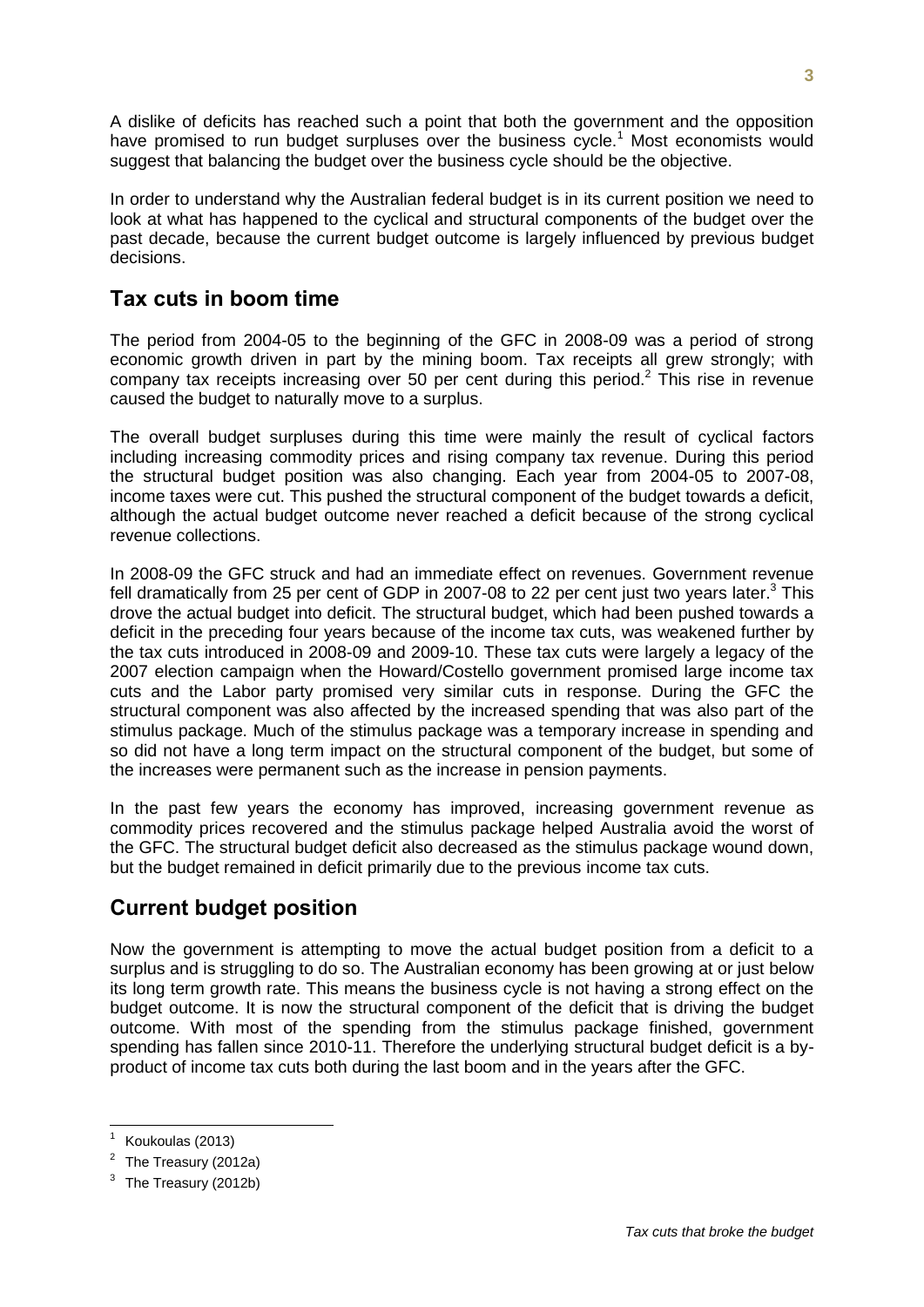A dislike of deficits has reached such a point that both the government and the opposition have promised to run budget surpluses over the business cycle.<sup>1</sup> Most economists would suggest that balancing the budget over the business cycle should be the objective.

In order to understand why the Australian federal budget is in its current position we need to look at what has happened to the cyclical and structural components of the budget over the past decade, because the current budget outcome is largely influenced by previous budget decisions.

## **Tax cuts in boom time**

The period from 2004-05 to the beginning of the GFC in 2008-09 was a period of strong economic growth driven in part by the mining boom. Tax receipts all grew strongly; with company tax receipts increasing over 50 per cent during this period.<sup>2</sup> This rise in revenue caused the budget to naturally move to a surplus.

The overall budget surpluses during this time were mainly the result of cyclical factors including increasing commodity prices and rising company tax revenue. During this period the structural budget position was also changing. Each year from 2004-05 to 2007-08, income taxes were cut. This pushed the structural component of the budget towards a deficit, although the actual budget outcome never reached a deficit because of the strong cyclical revenue collections.

In 2008-09 the GFC struck and had an immediate effect on revenues. Government revenue fell dramatically from 25 per cent of GDP in 2007-08 to 22 per cent just two years later.<sup>3</sup> This drove the actual budget into deficit. The structural budget, which had been pushed towards a deficit in the preceding four years because of the income tax cuts, was weakened further by the tax cuts introduced in 2008-09 and 2009-10. These tax cuts were largely a legacy of the 2007 election campaign when the Howard/Costello government promised large income tax cuts and the Labor party promised very similar cuts in response. During the GFC the structural component was also affected by the increased spending that was also part of the stimulus package. Much of the stimulus package was a temporary increase in spending and so did not have a long term impact on the structural component of the budget, but some of the increases were permanent such as the increase in pension payments.

In the past few years the economy has improved, increasing government revenue as commodity prices recovered and the stimulus package helped Australia avoid the worst of the GFC. The structural budget deficit also decreased as the stimulus package wound down, but the budget remained in deficit primarily due to the previous income tax cuts.

## **Current budget position**

Now the government is attempting to move the actual budget position from a deficit to a surplus and is struggling to do so. The Australian economy has been growing at or just below its long term growth rate. This means the business cycle is not having a strong effect on the budget outcome. It is now the structural component of the deficit that is driving the budget outcome. With most of the spending from the stimulus package finished, government spending has fallen since 2010-11. Therefore the underlying structural budget deficit is a byproduct of income tax cuts both during the last boom and in the years after the GFC.

 1 Koukoulas (2013)

<sup>&</sup>lt;sup>2</sup> The Treasury (2012a)

<sup>3</sup> The Treasury (2012b)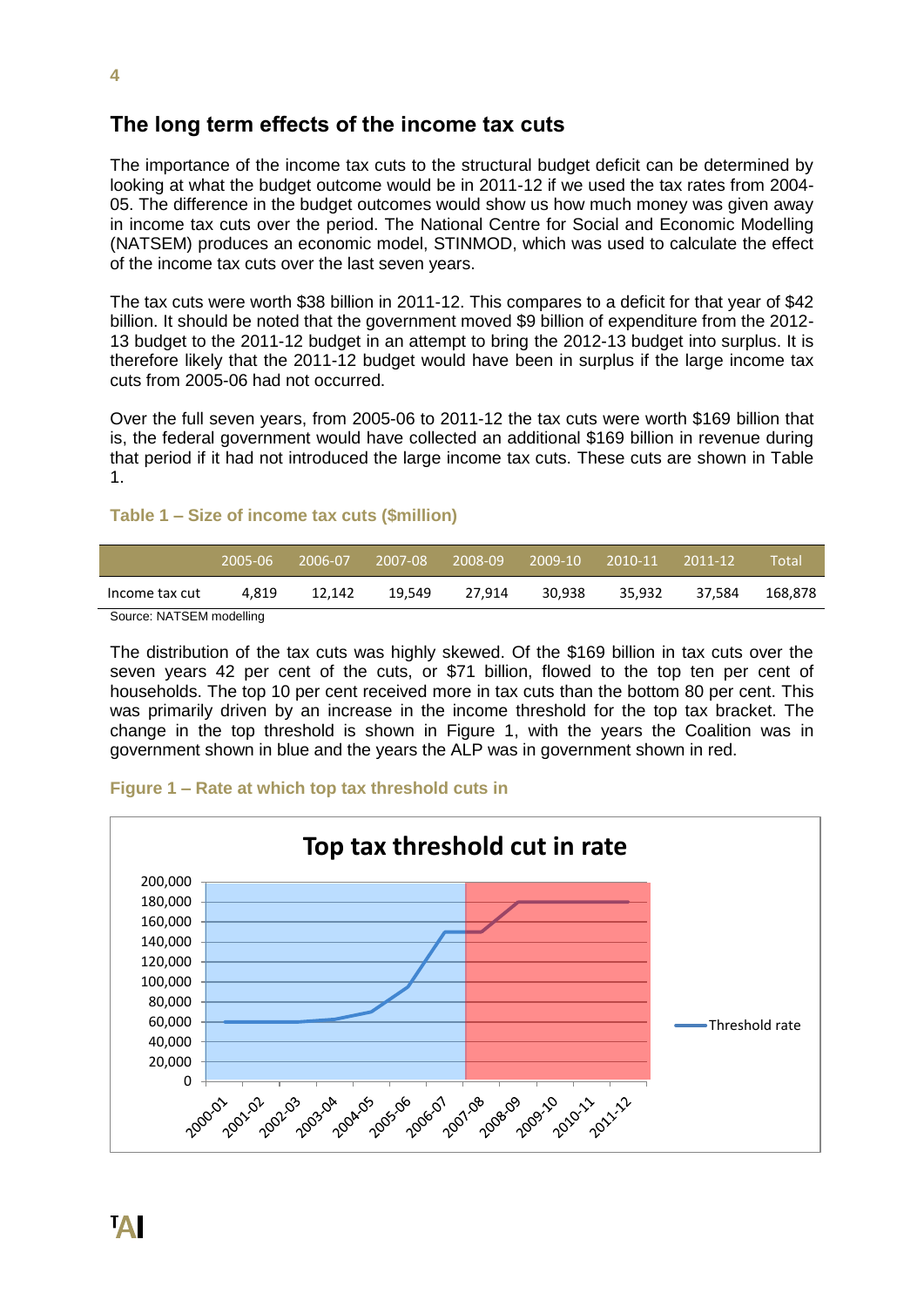#### **The long term effects of the income tax cuts**

The importance of the income tax cuts to the structural budget deficit can be determined by looking at what the budget outcome would be in 2011-12 if we used the tax rates from 2004- 05. The difference in the budget outcomes would show us how much money was given away in income tax cuts over the period. The National Centre for Social and Economic Modelling (NATSEM) produces an economic model, STINMOD, which was used to calculate the effect of the income tax cuts over the last seven years.

The tax cuts were worth \$38 billion in 2011-12. This compares to a deficit for that year of \$42 billion. It should be noted that the government moved \$9 billion of expenditure from the 2012- 13 budget to the 2011-12 budget in an attempt to bring the 2012-13 budget into surplus. It is therefore likely that the 2011-12 budget would have been in surplus if the large income tax cuts from 2005-06 had not occurred.

Over the full seven years, from 2005-06 to 2011-12 the tax cuts were worth \$169 billion that is, the federal government would have collected an additional \$169 billion in revenue during that period if it had not introduced the large income tax cuts. These cuts are shown in Table 1.

#### **Table 1 – Size of income tax cuts (\$million)**

|                          | '2005-06 | -2006-07 | 2007-08 | 2008-09 | 2009-10 | 2010-11 | 2011-12 | Total'  |
|--------------------------|----------|----------|---------|---------|---------|---------|---------|---------|
| Income tax cut           | 4.819    | 12.142   | 19,549  | 27.914  | 30.938  | 35.932  | 37.584  | 168.878 |
| Source: NATSEM modelling |          |          |         |         |         |         |         |         |

Source: NATSEM modelling

The distribution of the tax cuts was highly skewed. Of the \$169 billion in tax cuts over the seven years 42 per cent of the cuts, or \$71 billion, flowed to the top ten per cent of households. The top 10 per cent received more in tax cuts than the bottom 80 per cent. This was primarily driven by an increase in the income threshold for the top tax bracket. The change in the top threshold is shown in Figure 1, with the years the Coalition was in government shown in blue and the years the ALP was in government shown in red.

#### **Figure 1 – Rate at which top tax threshold cuts in**

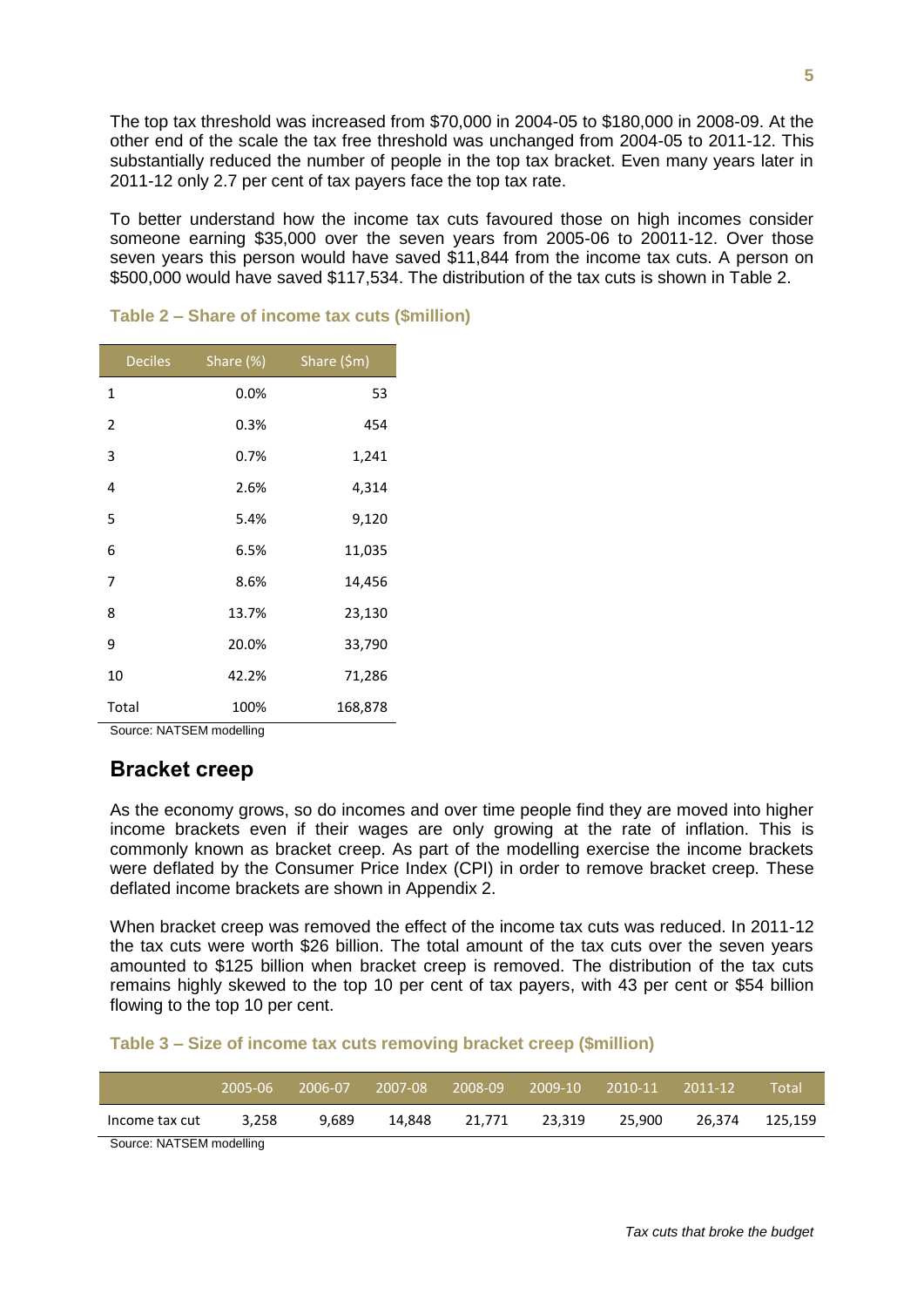The top tax threshold was increased from \$70,000 in 2004-05 to \$180,000 in 2008-09. At the other end of the scale the tax free threshold was unchanged from 2004-05 to 2011-12. This substantially reduced the number of people in the top tax bracket. Even many years later in 2011-12 only 2.7 per cent of tax payers face the top tax rate.

To better understand how the income tax cuts favoured those on high incomes consider someone earning \$35,000 over the seven years from 2005-06 to 20011-12. Over those seven years this person would have saved \$11,844 from the income tax cuts. A person on \$500,000 would have saved \$117,534. The distribution of the tax cuts is shown in Table 2.

| <b>Deciles</b>           | Share (%) | Share (\$m) |  |  |
|--------------------------|-----------|-------------|--|--|
| 1                        | 0.0%      | 53          |  |  |
| $\overline{2}$           | 0.3%      | 454         |  |  |
| 3                        | 0.7%      | 1,241       |  |  |
| 4                        | 2.6%      | 4,314       |  |  |
| 5                        | 5.4%      | 9,120       |  |  |
| 6                        | 6.5%      | 11,035      |  |  |
| 7                        | 8.6%      | 14,456      |  |  |
| 8                        | 13.7%     | 23,130      |  |  |
| 9                        | 20.0%     | 33,790      |  |  |
| 10                       | 42.2%     | 71,286      |  |  |
| Total                    | 100%      | 168,878     |  |  |
| Source: NATSEM modelling |           |             |  |  |

#### **Table 2 – Share of income tax cuts (\$million)**

## **Bracket creep**

As the economy grows, so do incomes and over time people find they are moved into higher income brackets even if their wages are only growing at the rate of inflation. This is commonly known as bracket creep. As part of the modelling exercise the income brackets were deflated by the Consumer Price Index (CPI) in order to remove bracket creep. These deflated income brackets are shown in Appendix 2.

When bracket creep was removed the effect of the income tax cuts was reduced. In 2011-12 the tax cuts were worth \$26 billion. The total amount of the tax cuts over the seven years amounted to \$125 billion when bracket creep is removed. The distribution of the tax cuts remains highly skewed to the top 10 per cent of tax payers, with 43 per cent or \$54 billion flowing to the top 10 per cent.

#### **Table 3 – Size of income tax cuts removing bracket creep (\$million)**

|                        | 2005-06 | 2006-07 | ، 2007-08 | 2008-09 | 2009-10 | 2010-11 | 2011-12 | Total   |
|------------------------|---------|---------|-----------|---------|---------|---------|---------|---------|
| Income tax cut         | 3.258   | 9.689   | 14.848    | 21.771  | 23.319  | 25.900  | 26.374  | 125.159 |
| Course NATOEM modeling |         |         |           |         |         |         |         |         |

Source: NATSEM modelling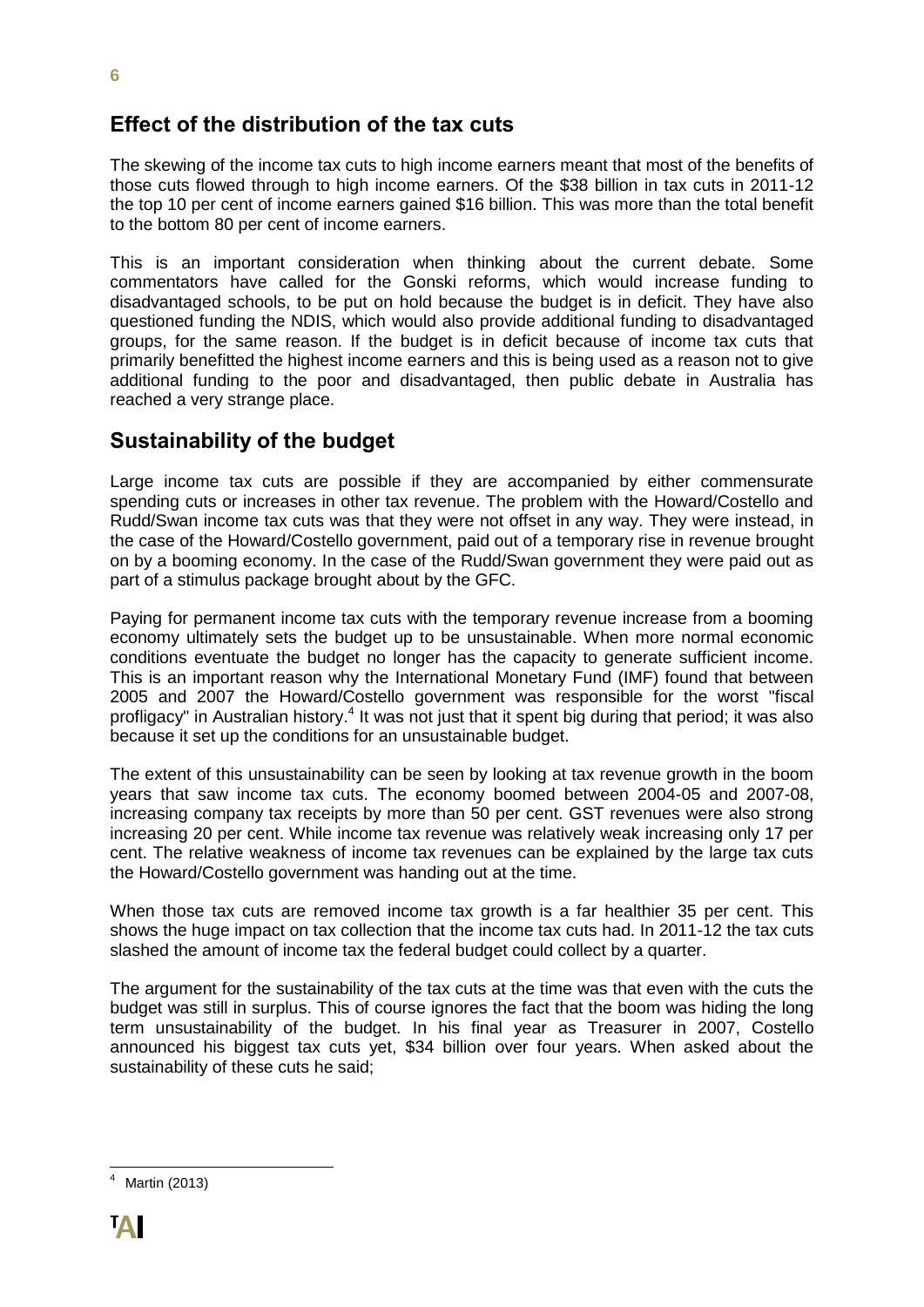## **Effect of the distribution of the tax cuts**

The skewing of the income tax cuts to high income earners meant that most of the benefits of those cuts flowed through to high income earners. Of the \$38 billion in tax cuts in 2011-12 the top 10 per cent of income earners gained \$16 billion. This was more than the total benefit to the bottom 80 per cent of income earners.

This is an important consideration when thinking about the current debate. Some commentators have called for the Gonski reforms, which would increase funding to disadvantaged schools, to be put on hold because the budget is in deficit. They have also questioned funding the NDIS, which would also provide additional funding to disadvantaged groups, for the same reason. If the budget is in deficit because of income tax cuts that primarily benefitted the highest income earners and this is being used as a reason not to give additional funding to the poor and disadvantaged, then public debate in Australia has reached a very strange place.

## **Sustainability of the budget**

Large income tax cuts are possible if they are accompanied by either commensurate spending cuts or increases in other tax revenue. The problem with the Howard/Costello and Rudd/Swan income tax cuts was that they were not offset in any way. They were instead, in the case of the Howard/Costello government, paid out of a temporary rise in revenue brought on by a booming economy. In the case of the Rudd/Swan government they were paid out as part of a stimulus package brought about by the GFC.

Paying for permanent income tax cuts with the temporary revenue increase from a booming economy ultimately sets the budget up to be unsustainable. When more normal economic conditions eventuate the budget no longer has the capacity to generate sufficient income. This is an important reason why the International Monetary Fund (IMF) found that between 2005 and 2007 the Howard/Costello government was responsible for the worst "fiscal profligacy" in Australian history.<sup>4</sup> It was not just that it spent big during that period; it was also because it set up the conditions for an unsustainable budget.

The extent of this unsustainability can be seen by looking at tax revenue growth in the boom years that saw income tax cuts. The economy boomed between 2004-05 and 2007-08, increasing company tax receipts by more than 50 per cent. GST revenues were also strong increasing 20 per cent. While income tax revenue was relatively weak increasing only 17 per cent. The relative weakness of income tax revenues can be explained by the large tax cuts the Howard/Costello government was handing out at the time.

When those tax cuts are removed income tax growth is a far healthier 35 per cent. This shows the huge impact on tax collection that the income tax cuts had. In 2011-12 the tax cuts slashed the amount of income tax the federal budget could collect by a quarter.

The argument for the sustainability of the tax cuts at the time was that even with the cuts the budget was still in surplus. This of course ignores the fact that the boom was hiding the long term unsustainability of the budget. In his final year as Treasurer in 2007, Costello announced his biggest tax cuts yet, \$34 billion over four years. When asked about the sustainability of these cuts he said;

 Martin (2013)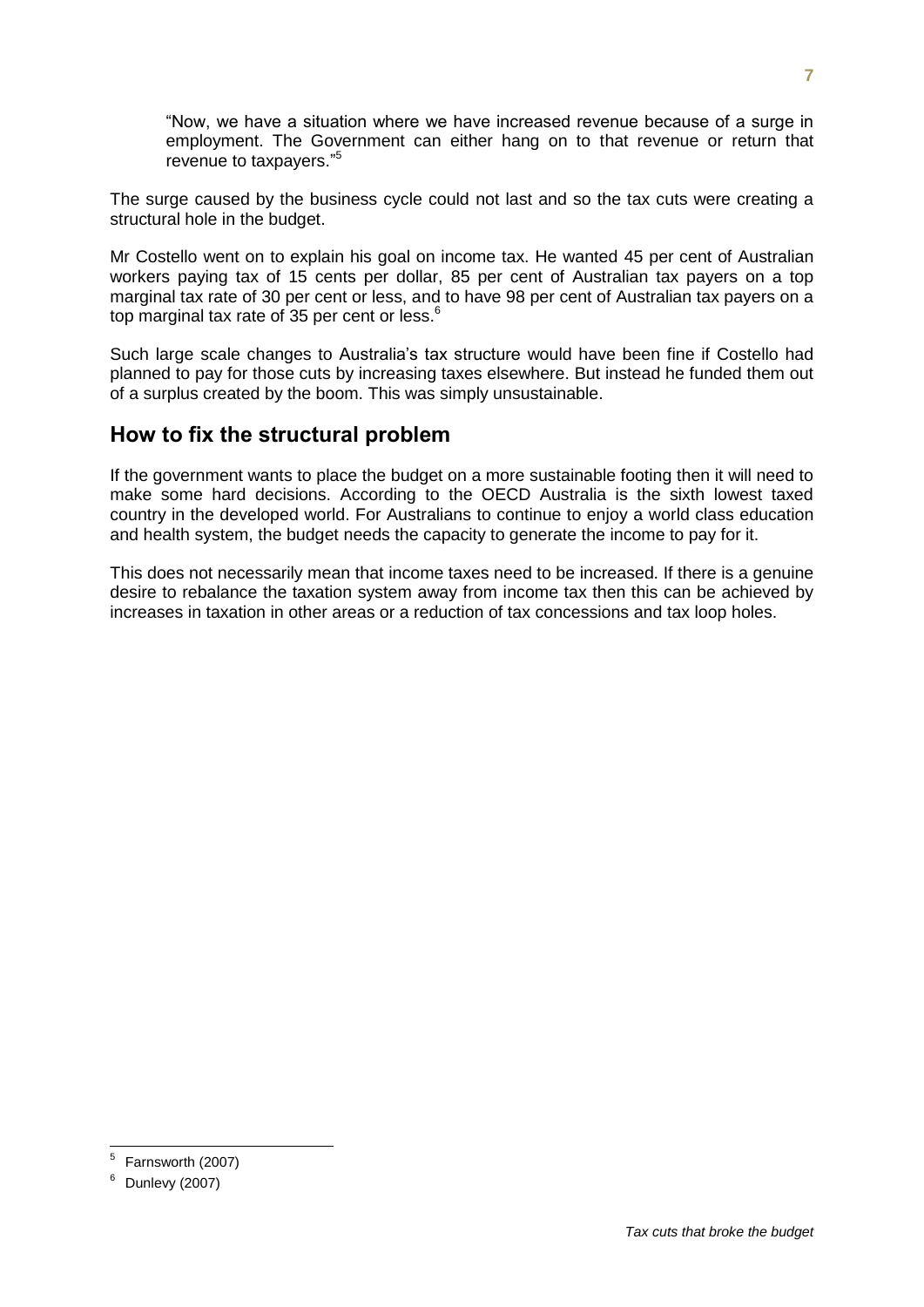"Now, we have a situation where we have increased revenue because of a surge in employment. The Government can either hang on to that revenue or return that revenue to taxpayers." 5

The surge caused by the business cycle could not last and so the tax cuts were creating a structural hole in the budget.

Mr Costello went on to explain his goal on income tax. He wanted 45 per cent of Australian workers paying tax of 15 cents per dollar, 85 per cent of Australian tax payers on a top marginal tax rate of 30 per cent or less, and to have 98 per cent of Australian tax payers on a top marginal tax rate of 35 per cent or less.<sup>6</sup>

Such large scale changes to Australia's tax structure would have been fine if Costello had planned to pay for those cuts by increasing taxes elsewhere. But instead he funded them out of a surplus created by the boom. This was simply unsustainable.

#### **How to fix the structural problem**

If the government wants to place the budget on a more sustainable footing then it will need to make some hard decisions. According to the OECD Australia is the sixth lowest taxed country in the developed world. For Australians to continue to enjoy a world class education and health system, the budget needs the capacity to generate the income to pay for it.

This does not necessarily mean that income taxes need to be increased. If there is a genuine desire to rebalance the taxation system away from income tax then this can be achieved by increases in taxation in other areas or a reduction of tax concessions and tax loop holes.

 5 Farnsworth (2007)

Dunlevy (2007)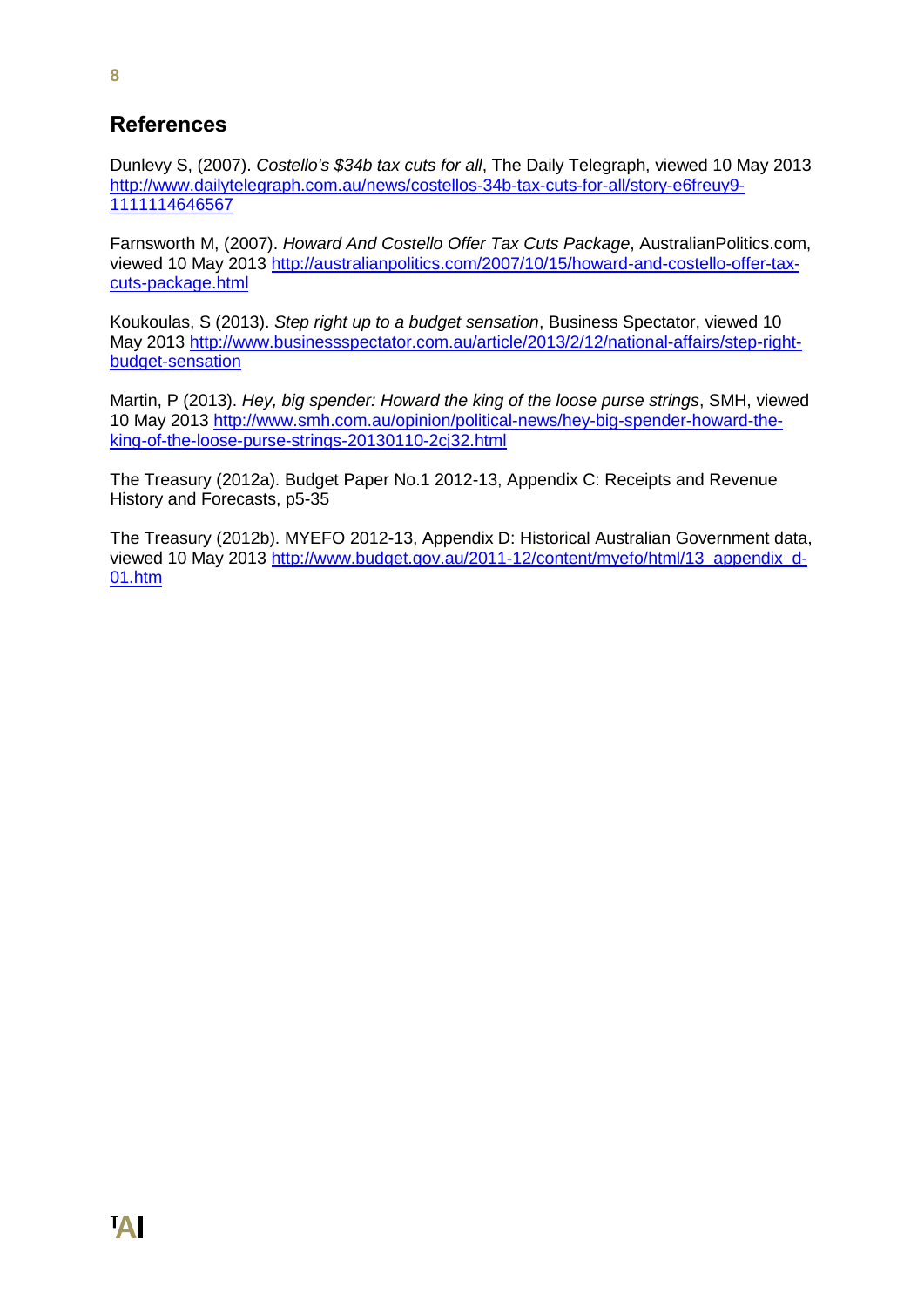## **References**

Dunlevy S, (2007). *Costello's \$34b tax cuts for all*, The Daily Telegraph, viewed 10 May 2013 [http://www.dailytelegraph.com.au/news/costellos-34b-tax-cuts-for-all/story-e6freuy9-](http://www.dailytelegraph.com.au/news/costellos-34b-tax-cuts-for-all/story-e6freuy9-1111114646567) [1111114646567](http://www.dailytelegraph.com.au/news/costellos-34b-tax-cuts-for-all/story-e6freuy9-1111114646567)

Farnsworth M, (2007). *Howard And Costello Offer Tax Cuts Package*, AustralianPolitics.com, viewed 10 May 2013 [http://australianpolitics.com/2007/10/15/howard-and-costello-offer-tax](http://australianpolitics.com/2007/10/15/howard-and-costello-offer-tax-cuts-package.html)[cuts-package.html](http://australianpolitics.com/2007/10/15/howard-and-costello-offer-tax-cuts-package.html)

Koukoulas, S (2013). *Step right up to a budget sensation*, Business Spectator, viewed 10 May 2013 [http://www.businessspectator.com.au/article/2013/2/12/national-affairs/step-right](http://www.businessspectator.com.au/article/2013/2/12/national-affairs/step-right-budget-sensation)[budget-sensation](http://www.businessspectator.com.au/article/2013/2/12/national-affairs/step-right-budget-sensation)

Martin, P (2013). *Hey, big spender: Howard the king of the loose purse strings*, SMH, viewed 10 May 2013 [http://www.smh.com.au/opinion/political-news/hey-big-spender-howard-the](http://www.smh.com.au/opinion/political-news/hey-big-spender-howard-the-king-of-the-loose-purse-strings-20130110-2cj32.html)[king-of-the-loose-purse-strings-20130110-2cj32.html](http://www.smh.com.au/opinion/political-news/hey-big-spender-howard-the-king-of-the-loose-purse-strings-20130110-2cj32.html)

The Treasury (2012a). Budget Paper No.1 2012-13, Appendix C: Receipts and Revenue History and Forecasts, p5-35

The Treasury (2012b). MYEFO 2012-13, Appendix D: Historical Australian Government data, viewed 10 May 2013 [http://www.budget.gov.au/2011-12/content/myefo/html/13\\_appendix\\_d-](http://www.budget.gov.au/2011-12/content/myefo/html/13_appendix_d-01.htm)[01.htm](http://www.budget.gov.au/2011-12/content/myefo/html/13_appendix_d-01.htm)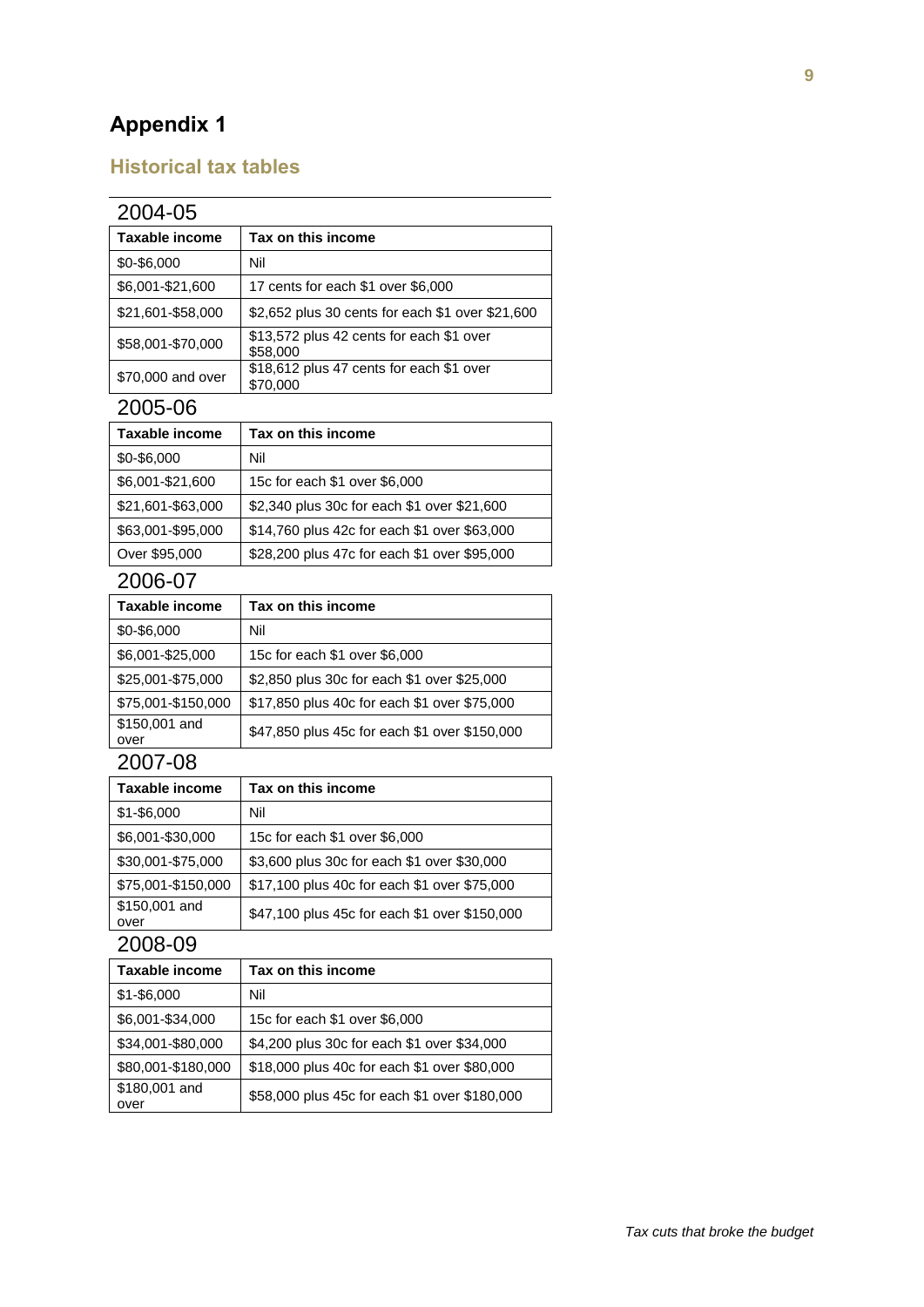# **Appendix 1**

## **Historical tax tables**

| 2004-05           |                                                      |  |
|-------------------|------------------------------------------------------|--|
| Taxable income    | Tax on this income                                   |  |
| \$0-\$6,000       | Nil                                                  |  |
| \$6,001-\$21,600  | 17 cents for each \$1 over \$6,000                   |  |
| \$21,601-\$58,000 | \$2,652 plus 30 cents for each \$1 over \$21,600     |  |
| \$58,001-\$70,000 | \$13,572 plus 42 cents for each \$1 over<br>\$58,000 |  |
| \$70,000 and over | \$18,612 plus 47 cents for each \$1 over<br>\$70,000 |  |

#### 2005-06

| Taxable income    | Tax on this income                           |
|-------------------|----------------------------------------------|
| \$0-\$6,000       | Nil                                          |
| \$6,001-\$21,600  | 15c for each \$1 over \$6,000                |
| \$21,601-\$63,000 | \$2,340 plus 30c for each \$1 over \$21,600  |
| \$63,001-\$95,000 | \$14,760 plus 42c for each \$1 over \$63,000 |
| Over \$95,000     | \$28,200 plus 47c for each \$1 over \$95,000 |

#### 2006-07

| Taxable income        | Tax on this income                            |
|-----------------------|-----------------------------------------------|
| \$0-\$6,000           | Nil                                           |
| \$6,001-\$25,000      | 15c for each \$1 over \$6,000                 |
| \$25,001-\$75,000     | \$2,850 plus 30c for each \$1 over \$25,000   |
| \$75,001-\$150,000    | \$17,850 plus 40c for each \$1 over \$75,000  |
| \$150,001 and<br>over | \$47,850 plus 45c for each \$1 over \$150,000 |

## 2007-08

| Taxable income        | Tax on this income                            |  |  |
|-----------------------|-----------------------------------------------|--|--|
| $$1 - $6,000$         | Nil                                           |  |  |
| \$6,001-\$30,000      | 15c for each \$1 over \$6,000                 |  |  |
| \$30,001-\$75,000     | \$3,600 plus 30c for each \$1 over \$30,000   |  |  |
| \$75,001-\$150,000    | \$17,100 plus 40c for each \$1 over \$75,000  |  |  |
| \$150,001 and<br>over | \$47,100 plus 45c for each \$1 over \$150,000 |  |  |

| Taxable income        | Tax on this income                            |
|-----------------------|-----------------------------------------------|
| $$1 - $6,000$         | Nil                                           |
| \$6,001-\$34,000      | 15c for each \$1 over \$6,000                 |
| \$34,001-\$80,000     | \$4,200 plus 30c for each \$1 over \$34,000   |
| \$80,001-\$180,000    | \$18,000 plus 40c for each \$1 over \$80,000  |
| \$180,001 and<br>over | \$58,000 plus 45c for each \$1 over \$180,000 |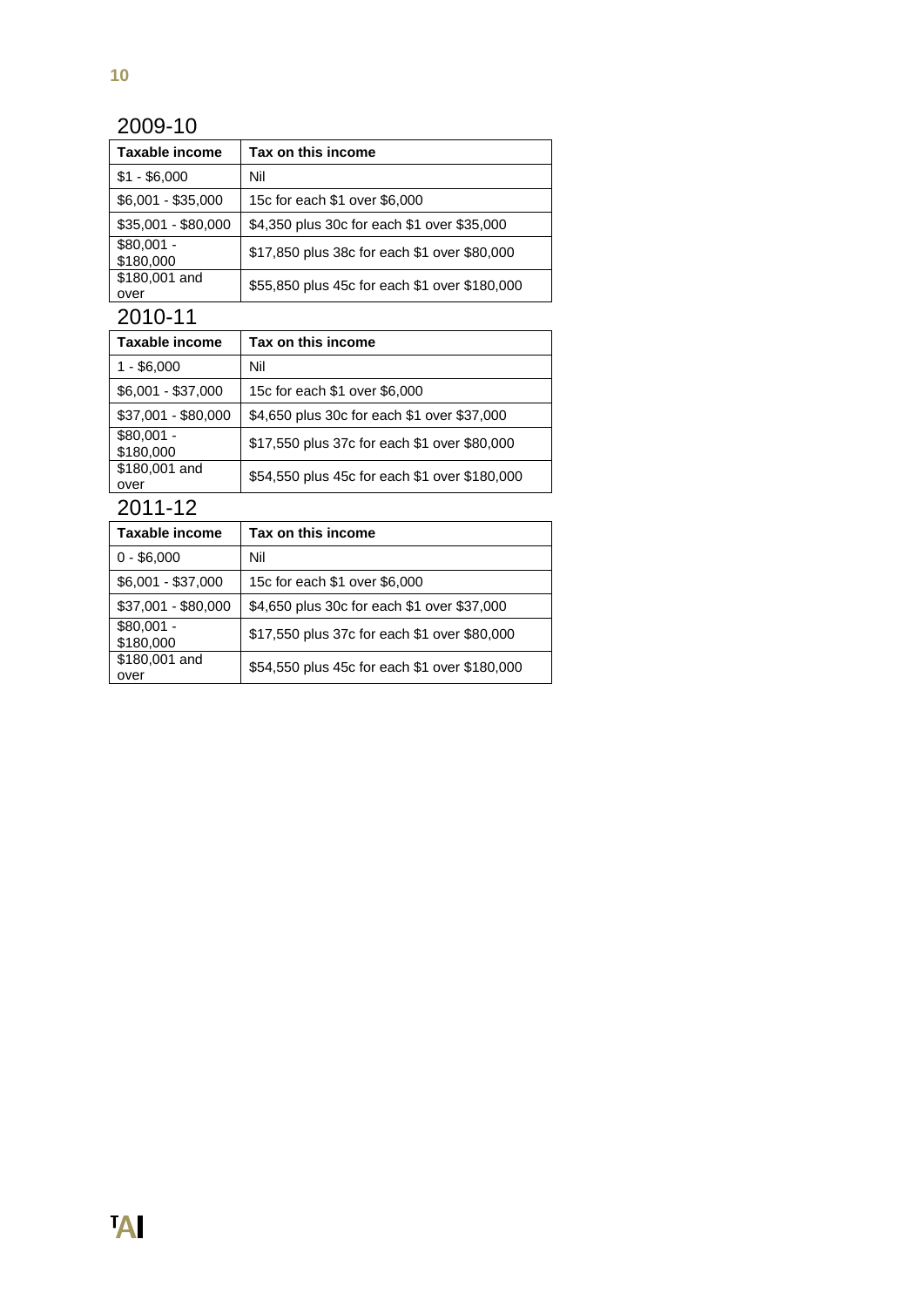#### 2009-10

| Taxable income           | Tax on this income                            |
|--------------------------|-----------------------------------------------|
| $$1 - $6,000$            | Nil                                           |
| \$6,001 - \$35,000       | 15c for each \$1 over \$6,000                 |
| $$35,001 - $80,000$      | \$4,350 plus 30c for each \$1 over \$35,000   |
| $$80,001 -$<br>\$180,000 | \$17,850 plus 38c for each \$1 over \$80,000  |
| \$180,001 and<br>over    | \$55,850 plus 45c for each \$1 over \$180,000 |

2010-11

| Taxable income           | Tax on this income                            |
|--------------------------|-----------------------------------------------|
| $1 - $6,000$             | Nil                                           |
| $$6,001 - $37,000$       | 15c for each \$1 over \$6,000                 |
| \$37,001 - \$80,000      | \$4,650 plus 30c for each \$1 over \$37,000   |
| $$80,001 -$<br>\$180,000 | \$17,550 plus 37c for each \$1 over \$80,000  |
| \$180,001 and<br>over    | \$54,550 plus 45c for each \$1 over \$180,000 |

| Taxable income           | Tax on this income                            |
|--------------------------|-----------------------------------------------|
| $0 - $6,000$             | Nil                                           |
| $$6,001 - $37,000$       | 15c for each \$1 over \$6,000                 |
| \$37,001 - \$80,000      | \$4,650 plus 30c for each \$1 over \$37,000   |
| $$80,001 -$<br>\$180,000 | \$17,550 plus 37c for each \$1 over \$80,000  |
| \$180,001 and<br>over    | \$54,550 plus 45c for each \$1 over \$180,000 |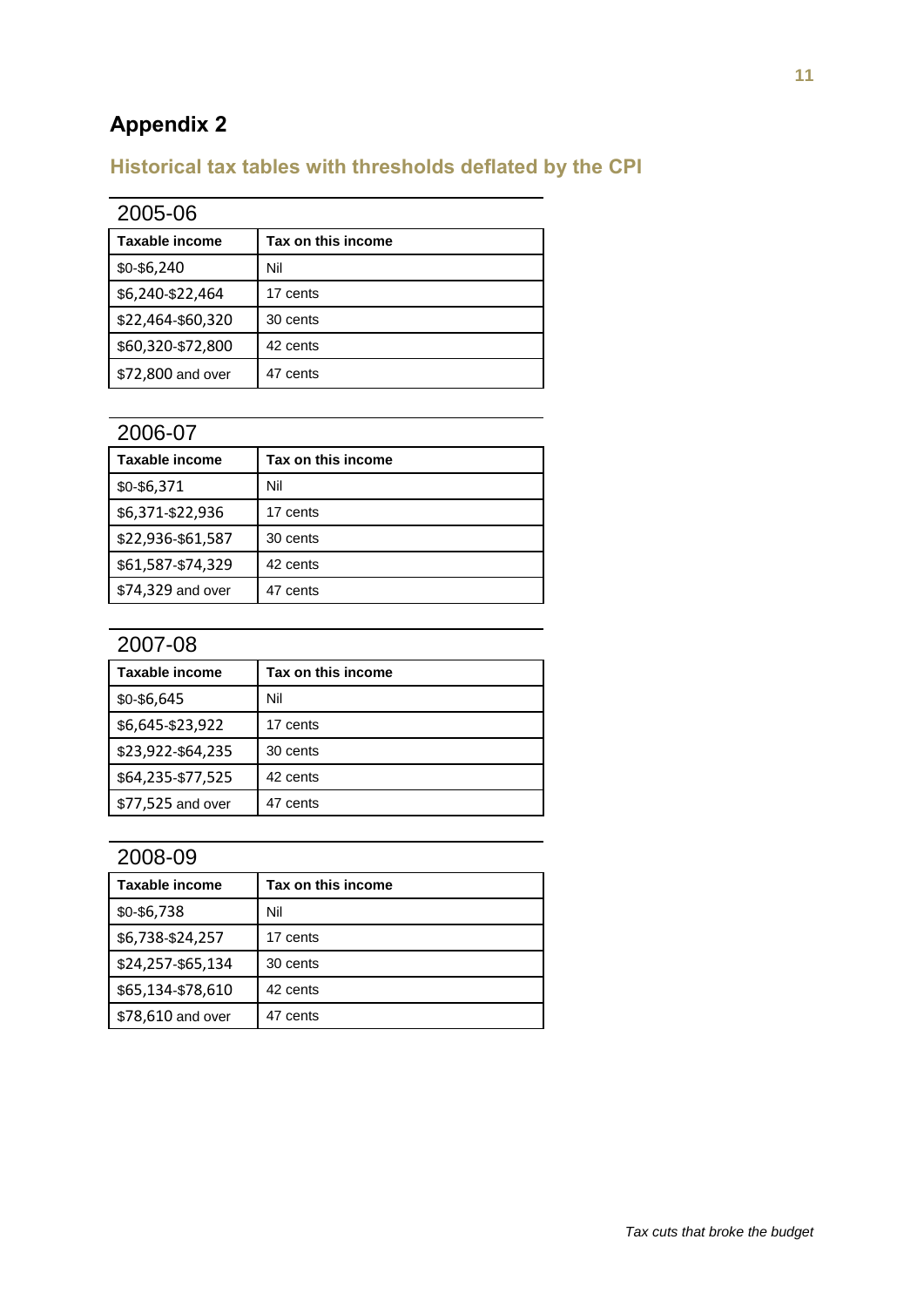# **Appendix 2**

# **Historical tax tables with thresholds deflated by the CPI**

| 2005-06           |                    |  |  |  |
|-------------------|--------------------|--|--|--|
| Taxable income    | Tax on this income |  |  |  |
| \$0-\$6,240       | Nil                |  |  |  |
| \$6,240-\$22,464  | 17 cents           |  |  |  |
| \$22,464-\$60,320 | 30 cents           |  |  |  |
| \$60,320-\$72,800 | 42 cents           |  |  |  |
| \$72,800 and over | 47 cents           |  |  |  |

#### 2006-07

| Taxable income    | Tax on this income |
|-------------------|--------------------|
| \$0-\$6,371       | Nil                |
| \$6,371-\$22,936  | 17 cents           |
| \$22,936-\$61,587 | 30 cents           |
| \$61,587-\$74,329 | 42 cents           |
| \$74,329 and over | 47 cents           |

## 2007-08

| Taxable income    | Tax on this income |
|-------------------|--------------------|
| \$0-\$6,645       | Nil                |
| \$6,645-\$23,922  | 17 cents           |
| \$23,922-\$64,235 | 30 cents           |
| \$64,235-\$77,525 | 42 cents           |
| \$77,525 and over | 47 cents           |

| Taxable income    | Tax on this income |
|-------------------|--------------------|
| \$0-\$6,738       | Nil                |
| \$6,738-\$24,257  | 17 cents           |
| \$24,257-\$65,134 | 30 cents           |
| \$65,134-\$78,610 | 42 cents           |
| \$78,610 and over | 47 cents           |